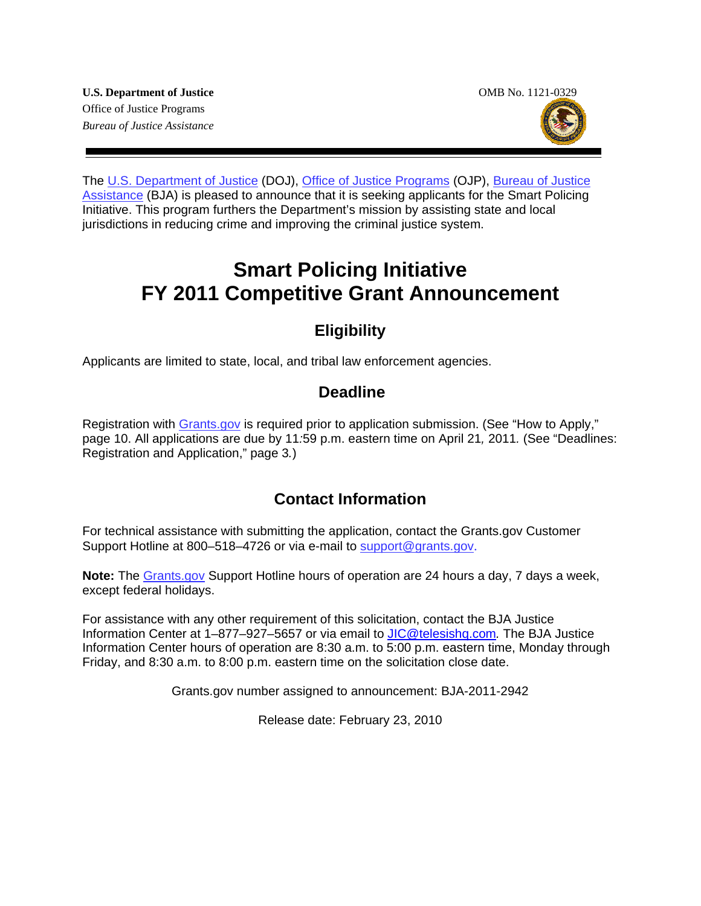The [U.S. Department of Justice](http://www.usdoj.gov/) (DOJ), [Office of Justice Programs](http://www.ojp.gov/flash.htm) (OJP), [Bureau of Justice](http://www.ojp.usdoj.gov/BJA/)  [Assistance](http://www.ojp.usdoj.gov/BJA/) (BJA) is pleased to announce that it is seeking applicants for the Smart Policing Initiative. This program furthers the Department's mission by assisting state and local jurisdictions in reducing crime and improving the criminal justice system.

# **Smart Policing Initiative FY 2011 Competitive Grant Announcement**

# **Eligibility**

Applicants are limited to state, local, and tribal law enforcement agencies.

# **Deadline**

Registration with [Grants.gov](http://www.grants.gov/applicants/apply_for_grants.jsp) is required prior to application submission. (See "How to Apply," page 10. All applications are due by 11*:*59 p.m. eastern time on April 21*,* 2011*.* (See "Deadlines: Registration and Application," page 3*.*)

# **Contact Information**

For technical assistance with submitting the application, contact the Grants.gov Customer Support Hotline at 800–518–4726 or via e-mail to [support@grants.gov](mailto:support@grants.gov).

**Note:** The [Grants.gov](http://www.grants.gov/applicants/apply_for_grants.jsp) Support Hotline hours of operation are 24 hours a day, 7 days a week, except federal holidays.

For assistance with any other requirement of this solicitation, contact the BJA Justice Information Center at 1–877–927–5657 or via email to [JIC@telesishq.com](mailto:JIC@telesishq.com)*.* The BJA Justice Information Center hours of operation are 8:30 a.m. to 5:00 p.m. eastern time, Monday through Friday, and 8:30 a.m. to 8:00 p.m. eastern time on the solicitation close date.

Grants.gov number assigned to announcement: BJA-2011-2942

Release date: February 23, 2010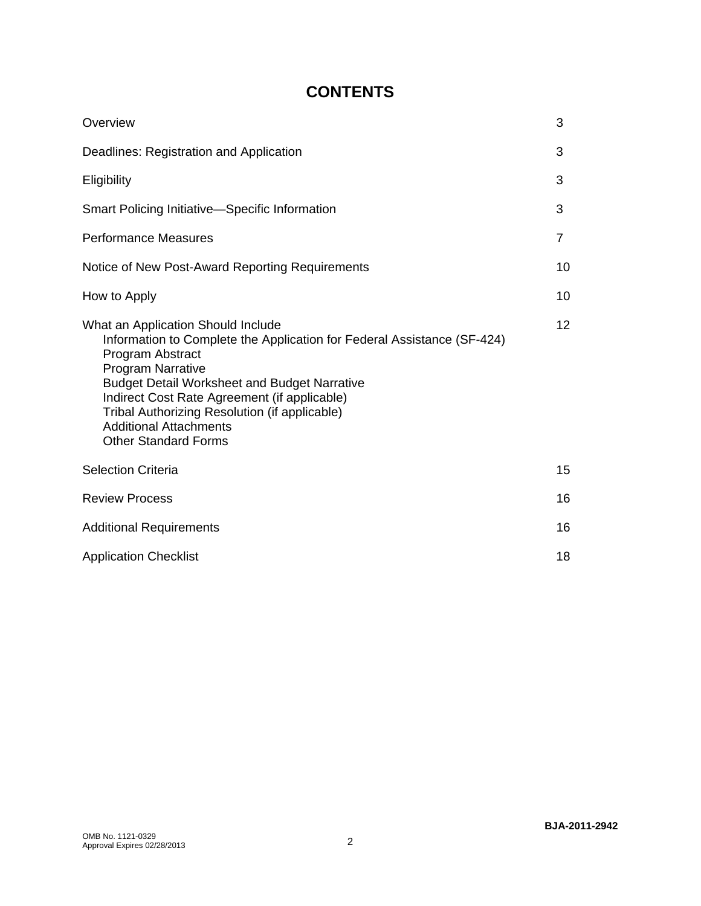# **CONTENTS**

| Overview                                                                                                                                                                                                                                                                                                                                                                              | 3  |
|---------------------------------------------------------------------------------------------------------------------------------------------------------------------------------------------------------------------------------------------------------------------------------------------------------------------------------------------------------------------------------------|----|
| Deadlines: Registration and Application                                                                                                                                                                                                                                                                                                                                               | 3  |
| Eligibility                                                                                                                                                                                                                                                                                                                                                                           | 3  |
| <b>Smart Policing Initiative—Specific Information</b>                                                                                                                                                                                                                                                                                                                                 | 3  |
| <b>Performance Measures</b>                                                                                                                                                                                                                                                                                                                                                           | 7  |
| Notice of New Post-Award Reporting Requirements                                                                                                                                                                                                                                                                                                                                       | 10 |
| How to Apply                                                                                                                                                                                                                                                                                                                                                                          | 10 |
| What an Application Should Include<br>Information to Complete the Application for Federal Assistance (SF-424)<br>Program Abstract<br><b>Program Narrative</b><br><b>Budget Detail Worksheet and Budget Narrative</b><br>Indirect Cost Rate Agreement (if applicable)<br>Tribal Authorizing Resolution (if applicable)<br><b>Additional Attachments</b><br><b>Other Standard Forms</b> | 12 |
| <b>Selection Criteria</b>                                                                                                                                                                                                                                                                                                                                                             | 15 |
| <b>Review Process</b>                                                                                                                                                                                                                                                                                                                                                                 | 16 |
| <b>Additional Requirements</b>                                                                                                                                                                                                                                                                                                                                                        |    |
| <b>Application Checklist</b>                                                                                                                                                                                                                                                                                                                                                          | 18 |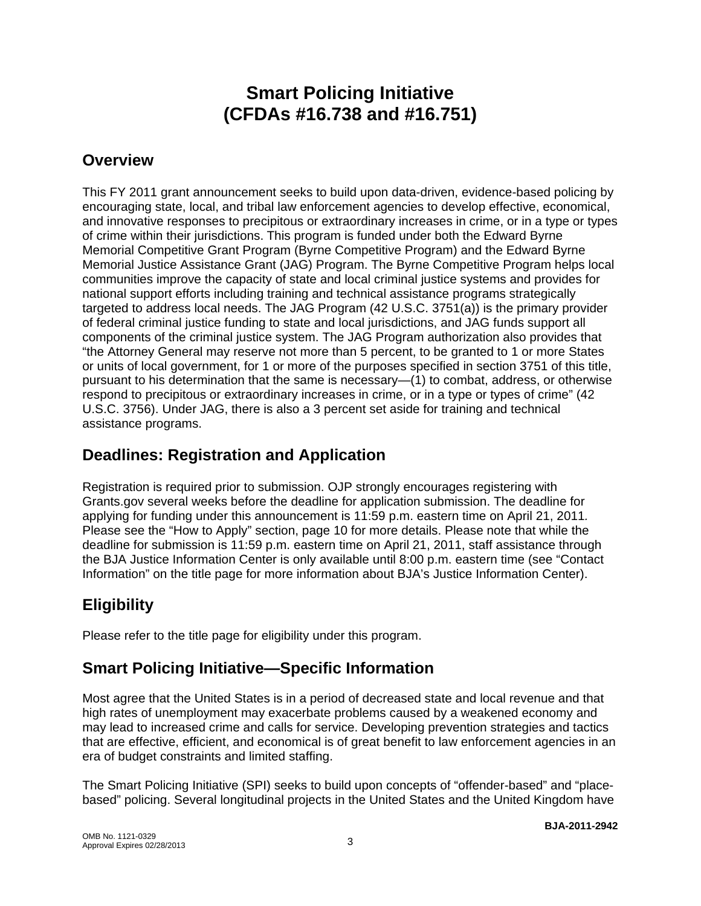# **Smart Policing Initiative (CFDAs #16.738 and #16.751)**

# **Overview**

This FY 2011 grant announcement seeks to build upon data-driven, evidence-based policing by encouraging state, local, and tribal law enforcement agencies to develop effective, economical, and innovative responses to precipitous or extraordinary increases in crime, or in a type or types of crime within their jurisdictions. This program is funded under both the Edward Byrne Memorial Competitive Grant Program (Byrne Competitive Program) and the Edward Byrne Memorial Justice Assistance Grant (JAG) Program. The Byrne Competitive Program helps local communities improve the capacity of state and local criminal justice systems and provides for national support efforts including training and technical assistance programs strategically targeted to address local needs. The JAG Program (42 U.S.C. 3751(a)) is the primary provider of federal criminal justice funding to state and local jurisdictions, and JAG funds support all components of the criminal justice system. The JAG Program authorization also provides that "the Attorney General may reserve not more than 5 percent, to be granted to 1 or more States or units of local government, for 1 or more of the purposes specified in section 3751 of this title, pursuant to his determination that the same is necessary—(1) to combat, address, or otherwise respond to precipitous or extraordinary increases in crime, or in a type or types of crime" (42 U.S.C. 3756). Under JAG, there is also a 3 percent set aside for training and technical assistance programs.

# **Deadlines: Registration and Application**

Registration is required prior to submission. OJP strongly encourages registering with Grants.gov several weeks before the deadline for application submission. The deadline for applying for funding under this announcement is 11:59 p.m. eastern time on April 21, 2011*.* Please see the "How to Apply" section, page 10 for more details. Please note that while the deadline for submission is 11:59 p.m. eastern time on April 21, 2011, staff assistance through the BJA Justice Information Center is only available until 8:00 p.m. eastern time (see "Contact Information" on the title page for more information about BJA's Justice Information Center).

# **Eligibility**

Please refer to the title page for eligibility under this program.

# **Smart Policing Initiative—Specific Information**

Most agree that the United States is in a period of decreased state and local revenue and that high rates of unemployment may exacerbate problems caused by a weakened economy and may lead to increased crime and calls for service. Developing prevention strategies and tactics that are effective, efficient, and economical is of great benefit to law enforcement agencies in an era of budget constraints and limited staffing.

The Smart Policing Initiative (SPI) seeks to build upon concepts of "offender-based" and "placebased" policing. Several longitudinal projects in the United States and the United Kingdom have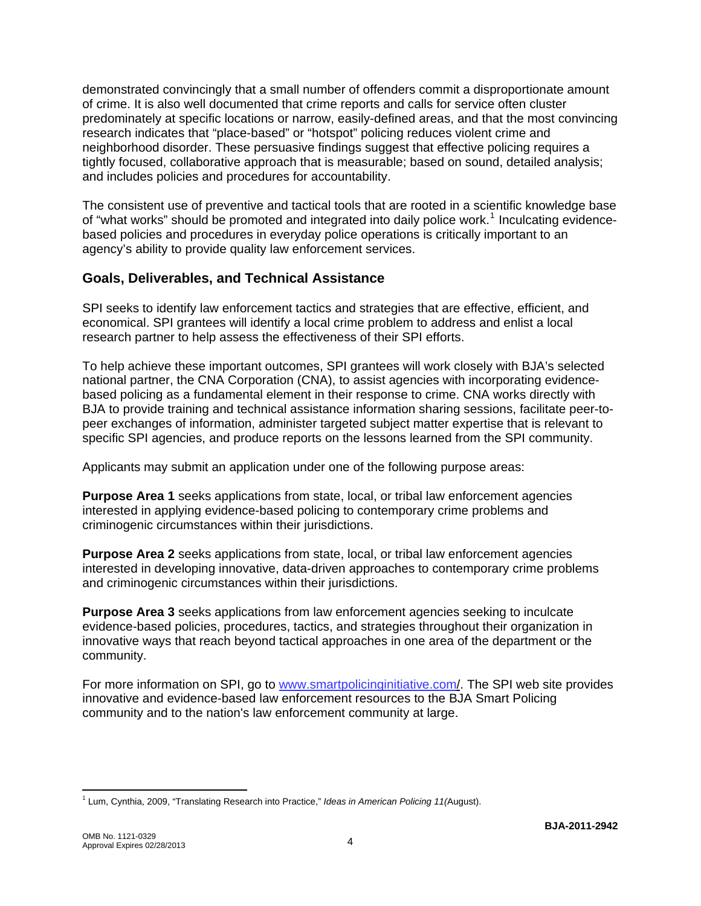demonstrated convincingly that a small number of offenders commit a disproportionate amount of crime. It is also well documented that crime reports and calls for service often cluster predominately at specific locations or narrow, easily-defined areas, and that the most convincing research indicates that "place-based" or "hotspot" policing reduces violent crime and neighborhood disorder. These persuasive findings suggest that effective policing requires a tightly focused, collaborative approach that is measurable; based on sound, detailed analysis; and includes policies and procedures for accountability.

The consistent use of preventive and tactical tools that are rooted in a scientific knowledge base of "what works" should be promoted and integrated into daily police work.<sup>[1](#page-3-0)</sup> Inculcating evidencebased policies and procedures in everyday police operations is critically important to an agency's ability to provide quality law enforcement services.

### **Goals, Deliverables, and Technical Assistance**

SPI seeks to identify law enforcement tactics and strategies that are effective, efficient, and economical. SPI grantees will identify a local crime problem to address and enlist a local research partner to help assess the effectiveness of their SPI efforts.

To help achieve these important outcomes, SPI grantees will work closely with BJA's selected national partner, the CNA Corporation (CNA), to assist agencies with incorporating evidencebased policing as a fundamental element in their response to crime. CNA works directly with BJA to provide training and technical assistance information sharing sessions, facilitate peer-topeer exchanges of information, administer targeted subject matter expertise that is relevant to specific SPI agencies, and produce reports on the lessons learned from the SPI community.

Applicants may submit an application under one of the following purpose areas:

**Purpose Area 1** seeks applications from state, local, or tribal law enforcement agencies interested in applying evidence-based policing to contemporary crime problems and criminogenic circumstances within their jurisdictions.

**Purpose Area 2** seeks applications from state, local, or tribal law enforcement agencies interested in developing innovative, data-driven approaches to contemporary crime problems and criminogenic circumstances within their jurisdictions.

**Purpose Area 3** seeks applications from law enforcement agencies seeking to inculcate evidence-based policies, procedures, tactics, and strategies throughout their organization in innovative ways that reach beyond tactical approaches in one area of the department or the community.

For more information on SPI, go to [www.smartpolicinginitiative.com/](http://www.smartpolicinginitiative.com/). The SPI web site provides innovative and evidence-based law enforcement resources to the BJA Smart Policing community and to the nation's law enforcement community at large.

<span id="page-3-0"></span> $\overline{a}$ 1 Lum, Cynthia, 2009, "Translating Research into Practice," *Ideas in American Policing 11(*August).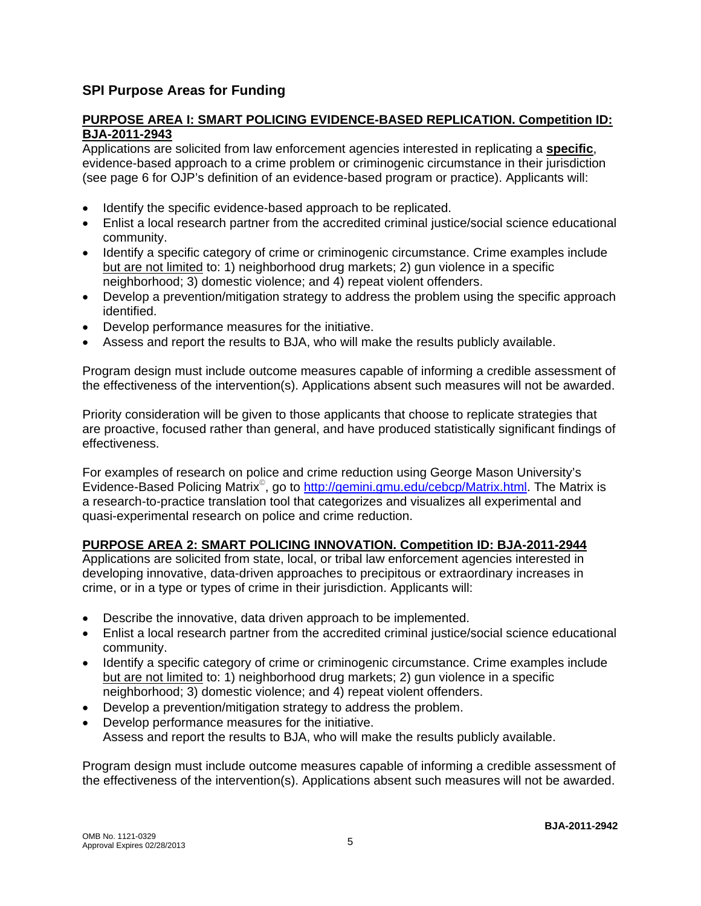### **SPI Purpose Areas for Funding**

#### **PURPOSE AREA I: SMART POLICING EVIDENCE-BASED REPLICATION. Competition ID: BJA-2011-2943**

Applications are solicited from law enforcement agencies interested in replicating a **specific**, evidence-based approach to a crime problem or criminogenic circumstance in their jurisdiction (see page 6 for OJP's definition of an evidence-based program or practice). Applicants will:

- Identify the specific evidence-based approach to be replicated.
- Enlist a local research partner from the accredited criminal justice/social science educational community.
- Identify a specific category of crime or criminogenic circumstance. Crime examples include but are not limited to: 1) neighborhood drug markets; 2) gun violence in a specific neighborhood; 3) domestic violence; and 4) repeat violent offenders.
- Develop a prevention/mitigation strategy to address the problem using the specific approach identified.
- Develop performance measures for the initiative.
- Assess and report the results to BJA, who will make the results publicly available.

Program design must include outcome measures capable of informing a credible assessment of the effectiveness of the intervention(s). Applications absent such measures will not be awarded.

Priority consideration will be given to those applicants that choose to replicate strategies that are proactive, focused rather than general, and have produced statistically significant findings of effectiveness.

For examples of research on police and crime reduction using George Mason University's Evidence-Based Policing Matrix<sup>®</sup>, go to <http://gemini.gmu.edu/cebcp/Matrix.html>. The Matrix is a research-to-practice translation tool that categorizes and visualizes all experimental and quasi-experimental research on police and crime reduction.

#### **PURPOSE AREA 2: SMART POLICING INNOVATION. Competition ID: BJA-2011-2944**

Applications are solicited from state, local, or tribal law enforcement agencies interested in developing innovative, data-driven approaches to precipitous or extraordinary increases in crime, or in a type or types of crime in their jurisdiction. Applicants will:

- Describe the innovative, data driven approach to be implemented.
- Enlist a local research partner from the accredited criminal justice/social science educational community.
- Identify a specific category of crime or criminogenic circumstance. Crime examples include but are not limited to: 1) neighborhood drug markets; 2) gun violence in a specific neighborhood; 3) domestic violence; and 4) repeat violent offenders.
- Develop a prevention/mitigation strategy to address the problem.
- Develop performance measures for the initiative. Assess and report the results to BJA, who will make the results publicly available.

Program design must include outcome measures capable of informing a credible assessment of the effectiveness of the intervention(s). Applications absent such measures will not be awarded.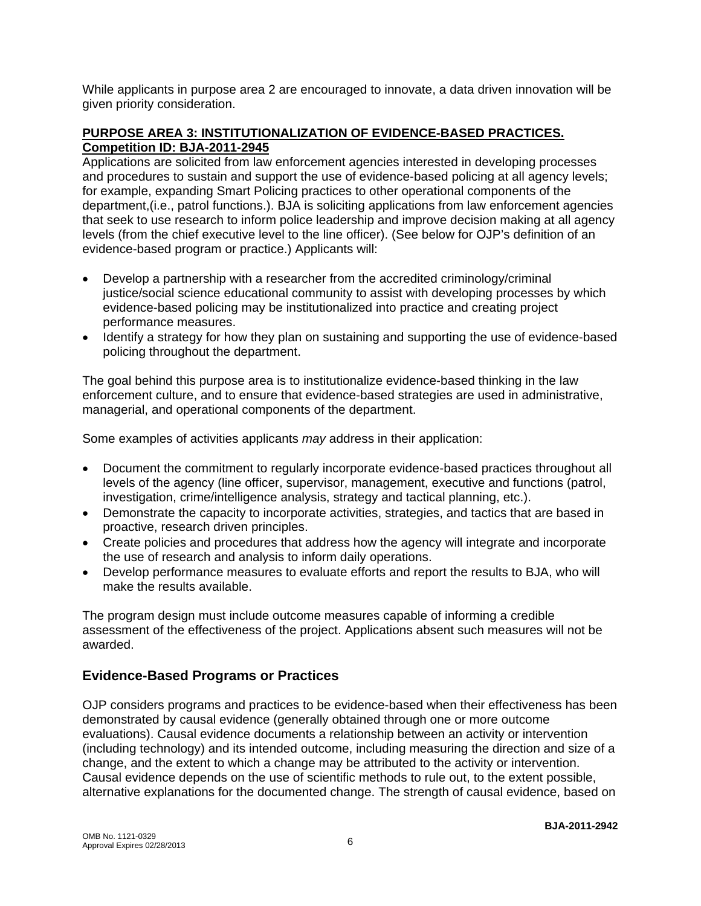While applicants in purpose area 2 are encouraged to innovate, a data driven innovation will be given priority consideration.

### **PURPOSE AREA 3: INSTITUTIONALIZATION OF EVIDENCE-BASED PRACTICES. Competition ID: BJA-2011-2945**

Applications are solicited from law enforcement agencies interested in developing processes and procedures to sustain and support the use of evidence-based policing at all agency levels; for example, expanding Smart Policing practices to other operational components of the department,(i.e., patrol functions.). BJA is soliciting applications from law enforcement agencies that seek to use research to inform police leadership and improve decision making at all agency levels (from the chief executive level to the line officer). (See below for OJP's definition of an evidence-based program or practice.) Applicants will:

- Develop a partnership with a researcher from the accredited criminology/criminal justice/social science educational community to assist with developing processes by which evidence-based policing may be institutionalized into practice and creating project performance measures.
- Identify a strategy for how they plan on sustaining and supporting the use of evidence-based policing throughout the department.

The goal behind this purpose area is to institutionalize evidence-based thinking in the law enforcement culture, and to ensure that evidence-based strategies are used in administrative, managerial, and operational components of the department.

Some examples of activities applicants *may* address in their application:

- Document the commitment to regularly incorporate evidence-based practices throughout all levels of the agency (line officer, supervisor, management, executive and functions (patrol, investigation, crime/intelligence analysis, strategy and tactical planning, etc.).
- Demonstrate the capacity to incorporate activities, strategies, and tactics that are based in proactive, research driven principles.
- Create policies and procedures that address how the agency will integrate and incorporate the use of research and analysis to inform daily operations.
- Develop performance measures to evaluate efforts and report the results to BJA, who will make the results available.

The program design must include outcome measures capable of informing a credible assessment of the effectiveness of the project. Applications absent such measures will not be awarded.

### **Evidence-Based Programs or Practices**

OJP considers programs and practices to be evidence-based when their effectiveness has been demonstrated by causal evidence (generally obtained through one or more outcome evaluations). Causal evidence documents a relationship between an activity or intervention (including technology) and its intended outcome, including measuring the direction and size of a change, and the extent to which a change may be attributed to the activity or intervention. Causal evidence depends on the use of scientific methods to rule out, to the extent possible, alternative explanations for the documented change. The strength of causal evidence, based on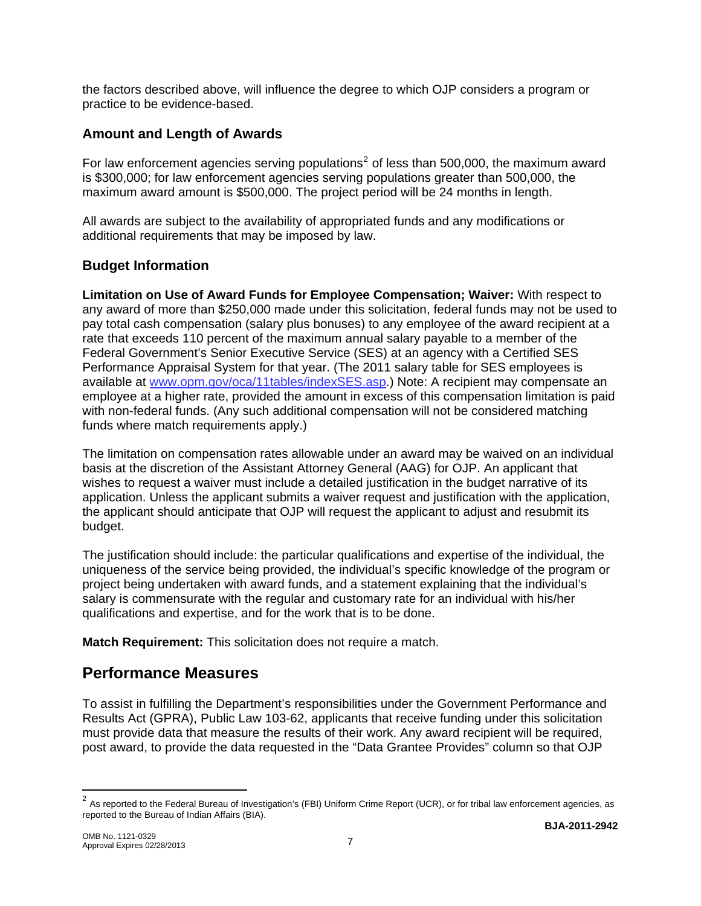the factors described above, will influence the degree to which OJP considers a program or practice to be evidence-based.

### **Amount and Length of Awards**

For law enforcement agencies serving populations<sup>[2](#page-6-0)</sup> of less than 500,000, the maximum award is \$300,000; for law enforcement agencies serving populations greater than 500,000, the maximum award amount is \$500,000. The project period will be 24 months in length.

All awards are subject to the availability of appropriated funds and any modifications or additional requirements that may be imposed by law.

### **Budget Information**

**Limitation on Use of Award Funds for Employee Compensation; Waiver:** With respect to any award of more than \$250,000 made under this solicitation, federal funds may not be used to pay total cash compensation (salary plus bonuses) to any employee of the award recipient at a rate that exceeds 110 percent of the maximum annual salary payable to a member of the Federal Government's Senior Executive Service (SES) at an agency with a Certified SES Performance Appraisal System for that year. (The 2011 salary table for SES employees is available at [www.opm.gov/oca/11tables/indexSES.asp](http://www.opm.gov/oca/11tables/indexSES.asp).) Note: A recipient may compensate an employee at a higher rate, provided the amount in excess of this compensation limitation is paid with non-federal funds. (Any such additional compensation will not be considered matching funds where match requirements apply.)

The limitation on compensation rates allowable under an award may be waived on an individual basis at the discretion of the Assistant Attorney General (AAG) for OJP. An applicant that wishes to request a waiver must include a detailed justification in the budget narrative of its application. Unless the applicant submits a waiver request and justification with the application, the applicant should anticipate that OJP will request the applicant to adjust and resubmit its budget.

The justification should include: the particular qualifications and expertise of the individual, the uniqueness of the service being provided, the individual's specific knowledge of the program or project being undertaken with award funds, and a statement explaining that the individual's salary is commensurate with the regular and customary rate for an individual with his/her qualifications and expertise, and for the work that is to be done.

**Match Requirement:** This solicitation does not require a match.

# **Performance Measures**

To assist in fulfilling the Department's responsibilities under the Government Performance and Results Act (GPRA), Public Law 103-62, applicants that receive funding under this solicitation must provide data that measure the results of their work. Any award recipient will be required, post award, to provide the data requested in the "Data Grantee Provides" column so that OJP

 $\overline{a}$ 

<span id="page-6-0"></span> $2$  As reported to the Federal Bureau of Investigation's (FBI) Uniform Crime Report (UCR), or for tribal law enforcement agencies, as reported to the Bureau of Indian Affairs (BIA).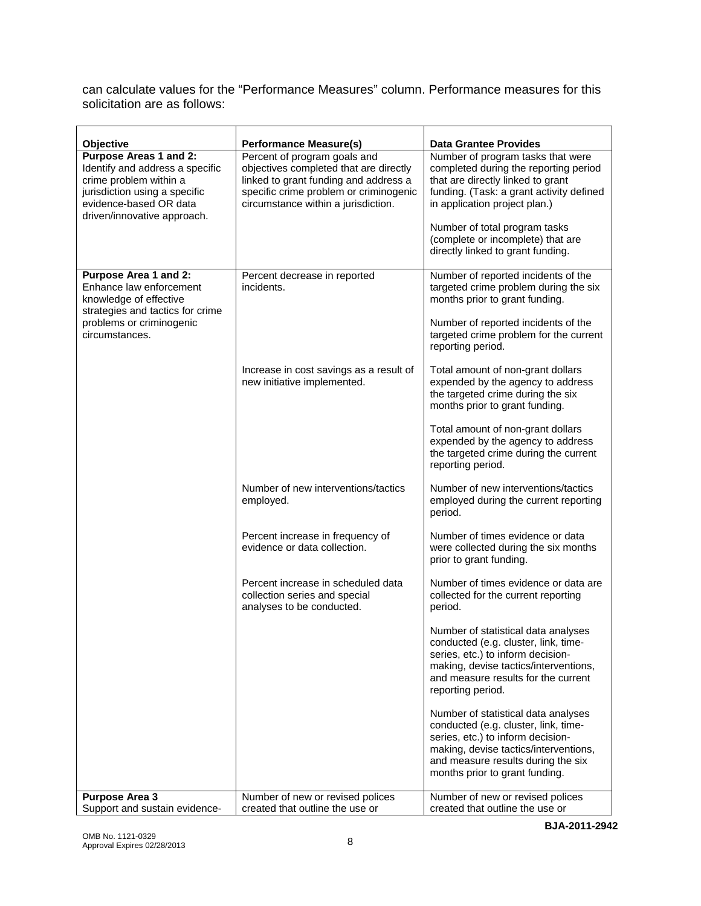can calculate values for the "Performance Measures" column. Performance measures for this solicitation are as follows:

| Objective<br><b>Purpose Areas 1 and 2:</b><br>Identify and address a specific<br>crime problem within a<br>jurisdiction using a specific<br>evidence-based OR data | <b>Performance Measure(s)</b><br>Percent of program goals and<br>objectives completed that are directly<br>linked to grant funding and address a<br>specific crime problem or criminogenic<br>circumstance within a jurisdiction. | <b>Data Grantee Provides</b><br>Number of program tasks that were<br>completed during the reporting period<br>that are directly linked to grant<br>funding. (Task: a grant activity defined<br>in application project plan.)      |
|--------------------------------------------------------------------------------------------------------------------------------------------------------------------|-----------------------------------------------------------------------------------------------------------------------------------------------------------------------------------------------------------------------------------|-----------------------------------------------------------------------------------------------------------------------------------------------------------------------------------------------------------------------------------|
| driven/innovative approach.                                                                                                                                        |                                                                                                                                                                                                                                   | Number of total program tasks<br>(complete or incomplete) that are<br>directly linked to grant funding.                                                                                                                           |
| Purpose Area 1 and 2:<br>Enhance law enforcement<br>knowledge of effective<br>strategies and tactics for crime<br>problems or criminogenic<br>circumstances.       | Percent decrease in reported<br>incidents.                                                                                                                                                                                        | Number of reported incidents of the<br>targeted crime problem during the six<br>months prior to grant funding.<br>Number of reported incidents of the<br>targeted crime problem for the current<br>reporting period.              |
|                                                                                                                                                                    | Increase in cost savings as a result of<br>new initiative implemented.                                                                                                                                                            | Total amount of non-grant dollars<br>expended by the agency to address<br>the targeted crime during the six<br>months prior to grant funding.                                                                                     |
|                                                                                                                                                                    |                                                                                                                                                                                                                                   | Total amount of non-grant dollars<br>expended by the agency to address<br>the targeted crime during the current<br>reporting period.                                                                                              |
|                                                                                                                                                                    | Number of new interventions/tactics<br>employed.                                                                                                                                                                                  | Number of new interventions/tactics<br>employed during the current reporting<br>period.                                                                                                                                           |
|                                                                                                                                                                    | Percent increase in frequency of<br>evidence or data collection.                                                                                                                                                                  | Number of times evidence or data<br>were collected during the six months<br>prior to grant funding.                                                                                                                               |
|                                                                                                                                                                    | Percent increase in scheduled data<br>collection series and special<br>analyses to be conducted.                                                                                                                                  | Number of times evidence or data are<br>collected for the current reporting<br>period.                                                                                                                                            |
|                                                                                                                                                                    |                                                                                                                                                                                                                                   | Number of statistical data analyses<br>conducted (e.g. cluster, link, time-<br>series, etc.) to inform decision-<br>making, devise tactics/interventions,<br>and measure results for the current<br>reporting period.             |
|                                                                                                                                                                    |                                                                                                                                                                                                                                   | Number of statistical data analyses<br>conducted (e.g. cluster, link, time-<br>series, etc.) to inform decision-<br>making, devise tactics/interventions,<br>and measure results during the six<br>months prior to grant funding. |
| <b>Purpose Area 3</b><br>Support and sustain evidence-                                                                                                             | Number of new or revised polices<br>created that outline the use or                                                                                                                                                               | Number of new or revised polices<br>created that outline the use or                                                                                                                                                               |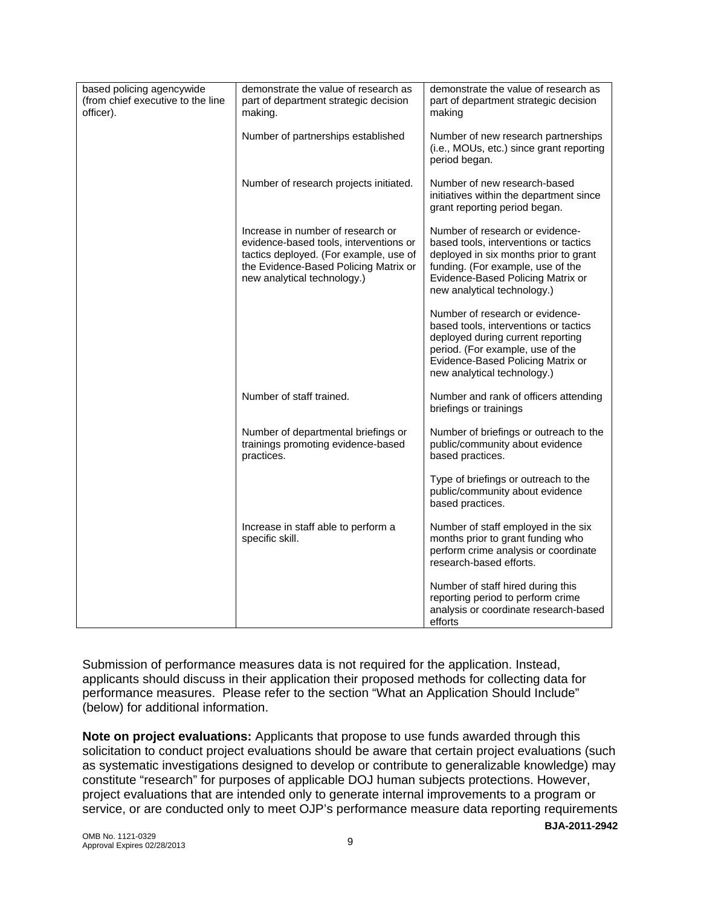| based policing agencywide<br>(from chief executive to the line<br>officer). | demonstrate the value of research as<br>part of department strategic decision<br>making.                                                                                                      | demonstrate the value of research as<br>part of department strategic decision<br>making                                                                                                                                    |
|-----------------------------------------------------------------------------|-----------------------------------------------------------------------------------------------------------------------------------------------------------------------------------------------|----------------------------------------------------------------------------------------------------------------------------------------------------------------------------------------------------------------------------|
|                                                                             | Number of partnerships established                                                                                                                                                            | Number of new research partnerships<br>(i.e., MOUs, etc.) since grant reporting<br>period began.                                                                                                                           |
|                                                                             | Number of research projects initiated.                                                                                                                                                        | Number of new research-based<br>initiatives within the department since<br>grant reporting period began.                                                                                                                   |
|                                                                             | Increase in number of research or<br>evidence-based tools, interventions or<br>tactics deployed. (For example, use of<br>the Evidence-Based Policing Matrix or<br>new analytical technology.) | Number of research or evidence-<br>based tools, interventions or tactics<br>deployed in six months prior to grant<br>funding. (For example, use of the<br>Evidence-Based Policing Matrix or<br>new analytical technology.) |
|                                                                             |                                                                                                                                                                                               | Number of research or evidence-<br>based tools, interventions or tactics<br>deployed during current reporting<br>period. (For example, use of the<br>Evidence-Based Policing Matrix or<br>new analytical technology.)      |
|                                                                             | Number of staff trained.                                                                                                                                                                      | Number and rank of officers attending<br>briefings or trainings                                                                                                                                                            |
|                                                                             | Number of departmental briefings or<br>trainings promoting evidence-based<br>practices.                                                                                                       | Number of briefings or outreach to the<br>public/community about evidence<br>based practices.                                                                                                                              |
|                                                                             |                                                                                                                                                                                               | Type of briefings or outreach to the<br>public/community about evidence<br>based practices.                                                                                                                                |
|                                                                             | Increase in staff able to perform a<br>specific skill.                                                                                                                                        | Number of staff employed in the six<br>months prior to grant funding who<br>perform crime analysis or coordinate<br>research-based efforts.                                                                                |
|                                                                             |                                                                                                                                                                                               | Number of staff hired during this<br>reporting period to perform crime<br>analysis or coordinate research-based<br>efforts                                                                                                 |

Submission of performance measures data is not required for the application. Instead, applicants should discuss in their application their proposed methods for collecting data for performance measures. Please refer to the section "What an Application Should Include" (below) for additional information.

**BJA-2011-2942 Note on project evaluations:** Applicants that propose to use funds awarded through this solicitation to conduct project evaluations should be aware that certain project evaluations (such as systematic investigations designed to develop or contribute to generalizable knowledge) may constitute "research" for purposes of applicable DOJ human subjects protections. However, project evaluations that are intended only to generate internal improvements to a program or service, or are conducted only to meet OJP's performance measure data reporting requirements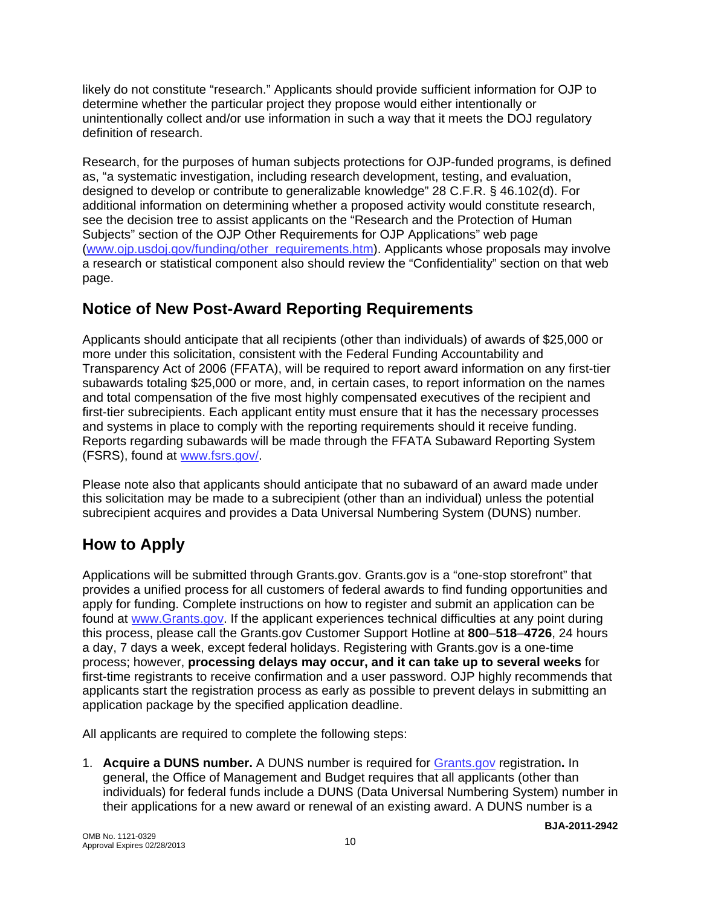likely do not constitute "research." Applicants should provide sufficient information for OJP to determine whether the particular project they propose would either intentionally or unintentionally collect and/or use information in such a way that it meets the DOJ regulatory definition of research.

Research, for the purposes of human subjects protections for OJP-funded programs, is defined as, "a systematic investigation, including research development, testing, and evaluation, designed to develop or contribute to generalizable knowledge" 28 C.F.R. § 46.102(d). For additional information on determining whether a proposed activity would constitute research, see the decision tree to assist applicants on the "Research and the Protection of Human Subjects" section of the OJP Other Requirements for OJP Applications" web page ([www.ojp.usdoj.gov/funding/other\\_requirements.htm](http://www.ojp.usdoj.gov/funding/other_requirements.htm)). Applicants whose proposals may involve a research or statistical component also should review the "Confidentiality" section on that web page.

# **Notice of New Post-Award Reporting Requirements**

Applicants should anticipate that all recipients (other than individuals) of awards of \$25,000 or more under this solicitation, consistent with the Federal Funding Accountability and Transparency Act of 2006 (FFATA), will be required to report award information on any first-tier subawards totaling \$25,000 or more, and, in certain cases, to report information on the names and total compensation of the five most highly compensated executives of the recipient and first-tier subrecipients. Each applicant entity must ensure that it has the necessary processes and systems in place to comply with the reporting requirements should it receive funding. Reports regarding subawards will be made through the FFATA Subaward Reporting System (FSRS), found at [www.fsrs.gov/](http://www.fsrs.gov/).

Please note also that applicants should anticipate that no subaward of an award made under this solicitation may be made to a subrecipient (other than an individual) unless the potential subrecipient acquires and provides a Data Universal Numbering System (DUNS) number.

# **How to Apply**

Applications will be submitted through Grants.gov. Grants.gov is a "one-stop storefront" that provides a unified process for all customers of federal awards to find funding opportunities and apply for funding. Complete instructions on how to register and submit an application can be found at [www.Grants.gov](http://www.grants.gov/). If the applicant experiences technical difficulties at any point during this process, please call the Grants.gov Customer Support Hotline at **800**–**518**–**4726**, 24 hours a day, 7 days a week, except federal holidays. Registering with Grants.gov is a one-time process; however, **processing delays may occur, and it can take up to several weeks** for first-time registrants to receive confirmation and a user password. OJP highly recommends that applicants start the registration process as early as possible to prevent delays in submitting an application package by the specified application deadline.

All applicants are required to complete the following steps:

1. **Acquire a DUNS number.** A DUNS number is required for [Grants.gov](http://www.grants.gov/index.jsp) registration**.** In general, the Office of Management and Budget requires that all applicants (other than individuals) for federal funds include a DUNS (Data Universal Numbering System) number in their applications for a new award or renewal of an existing award. A DUNS number is a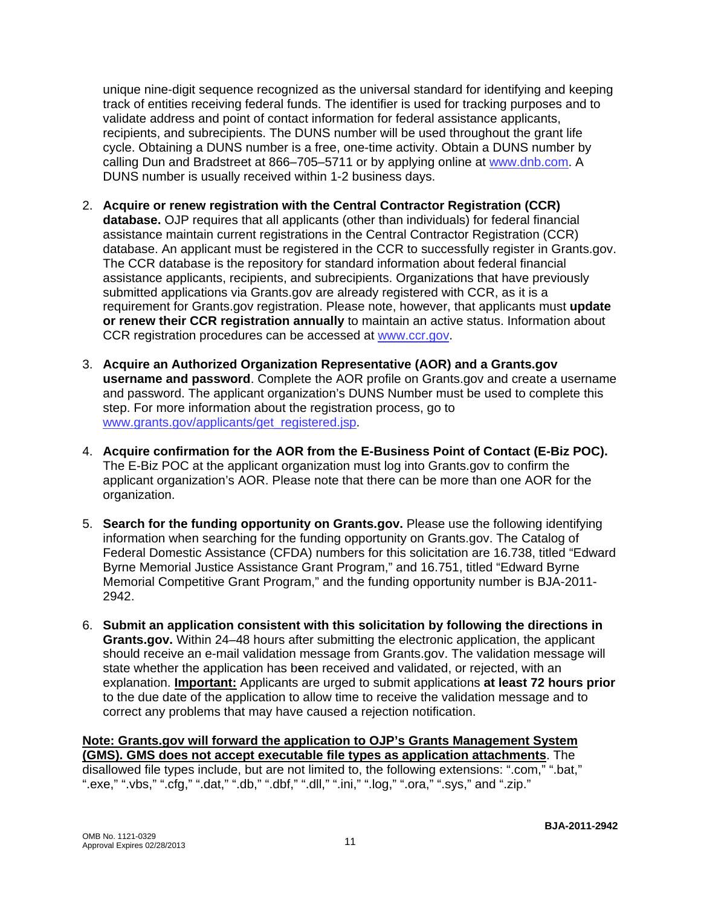unique nine-digit sequence recognized as the universal standard for identifying and keeping track of entities receiving federal funds. The identifier is used for tracking purposes and to validate address and point of contact information for federal assistance applicants, recipients, and subrecipients. The DUNS number will be used throughout the grant life cycle. Obtaining a DUNS number is a free, one-time activity. Obtain a DUNS number by calling Dun and Bradstreet at 866–705–5711 or by applying online at www.dnb.com. A DUNS number is usually received within 1-2 business days.

- 2. **Acquire or renew registration with the Central Contractor Registration (CCR) database.** OJP requires that all applicants (other than individuals) for federal financial assistance maintain current registrations in the Central Contractor Registration (CCR) database. An applicant must be registered in the CCR to successfully register in Grants.gov. The CCR database is the repository for standard information about federal financial assistance applicants, recipients, and subrecipients. Organizations that have previously submitted applications via Grants.gov are already registered with CCR, as it is a requirement for Grants.gov registration. Please note, however, that applicants must **update or renew their CCR registration annually** to maintain an active status. Information about CCR registration procedures can be accessed at [www.ccr.gov.](http://www.ccr.gov/)
- 3. **Acquire an Authorized Organization Representative (AOR) and a Grants.gov username and password**. Complete the AOR profile on Grants.gov and create a username and password. The applicant organization's DUNS Number must be used to complete this step. For more information about the registration process, go to [www.grants.gov/applicants/get\\_registered.jsp](http://www.grants.gov/applicants/get_registered.jsp).
- 4. **Acquire confirmation for the AOR from the E-Business Point of Contact (E-Biz POC).**  The E-Biz POC at the applicant organization must log into Grants.gov to confirm the applicant organization's AOR. Please note that there can be more than one AOR for the organization.
- 5. **Search for the funding opportunity on Grants.gov.** Please use the following identifying information when searching for the funding opportunity on Grants.gov. The Catalog of Federal Domestic Assistance (CFDA) numbers for this solicitation are 16.738, titled "Edward Byrne Memorial Justice Assistance Grant Program," and 16.751, titled "Edward Byrne Memorial Competitive Grant Program," and the funding opportunity number is BJA-2011- 2942.
- 6. **Submit an application consistent with this solicitation by following the directions in Grants.gov.** Within 24–48 hours after submitting the electronic application, the applicant should receive an e-mail validation message from Grants.gov. The validation message will state whether the application has b**e**en received and validated, or rejected, with an explanation. **Important:** Applicants are urged to submit applications **at least 72 hours prior** to the due date of the application to allow time to receive the validation message and to correct any problems that may have caused a rejection notification.

## **Note: Grants.gov will forward the application to OJP's Grants Management System (GMS). GMS does not accept executable file types as application attachments**. The

disallowed file types include, but are not limited to, the following extensions: ".com," ".bat," ".exe," ".vbs," ".cfg," ".dat," ".db," ".dbf," ".dll," ".ini," ".log," ".ora," ".sys," and ".zip."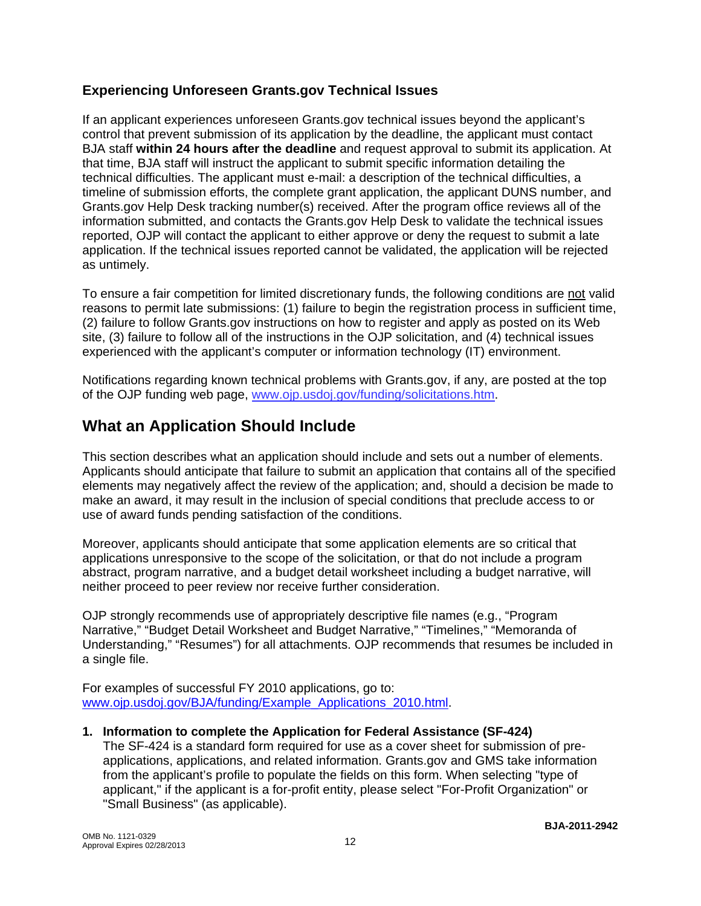## **Experiencing Unforeseen Grants.gov Technical Issues**

If an applicant experiences unforeseen Grants.gov technical issues beyond the applicant's control that prevent submission of its application by the deadline, the applicant must contact BJA staff **within 24 hours after the deadline** and request approval to submit its application. At that time, BJA staff will instruct the applicant to submit specific information detailing the technical difficulties. The applicant must e-mail: a description of the technical difficulties, a timeline of submission efforts, the complete grant application, the applicant DUNS number, and Grants.gov Help Desk tracking number(s) received. After the program office reviews all of the information submitted, and contacts the Grants.gov Help Desk to validate the technical issues reported, OJP will contact the applicant to either approve or deny the request to submit a late application. If the technical issues reported cannot be validated, the application will be rejected as untimely.

To ensure a fair competition for limited discretionary funds, the following conditions are not valid reasons to permit late submissions: (1) failure to begin the registration process in sufficient time, (2) failure to follow Grants.gov instructions on how to register and apply as posted on its Web site, (3) failure to follow all of the instructions in the OJP solicitation, and (4) technical issues experienced with the applicant's computer or information technology (IT) environment.

Notifications regarding known technical problems with Grants.gov, if any, are posted at the top of the OJP funding web page, [www.ojp.usdoj.gov/funding/solicitations.htm](http://www.ojp.gov/funding/solicitations.htm).

# **What an Application Should Include**

This section describes what an application should include and sets out a number of elements. Applicants should anticipate that failure to submit an application that contains all of the specified elements may negatively affect the review of the application; and, should a decision be made to make an award, it may result in the inclusion of special conditions that preclude access to or use of award funds pending satisfaction of the conditions.

Moreover, applicants should anticipate that some application elements are so critical that applications unresponsive to the scope of the solicitation, or that do not include a program abstract, program narrative, and a budget detail worksheet including a budget narrative, will neither proceed to peer review nor receive further consideration.

OJP strongly recommends use of appropriately descriptive file names (e.g., "Program Narrative," "Budget Detail Worksheet and Budget Narrative," "Timelines," "Memoranda of Understanding," "Resumes") for all attachments. OJP recommends that resumes be included in a single file.

For examples of successful FY 2010 applications, go to: [www.ojp.usdoj.gov/BJA/funding/Example\\_Applications\\_2010.html.](http://www.ojp.usdoj.gov/BJA/funding/Example_Applications_2010.html)

#### **1. Information to complete the Application for Federal Assistance (SF-424)**

The SF-424 is a standard form required for use as a cover sheet for submission of preapplications, applications, and related information. Grants.gov and GMS take information from the applicant's profile to populate the fields on this form. When selecting "type of applicant," if the applicant is a for-profit entity, please select "For-Profit Organization" or "Small Business" (as applicable).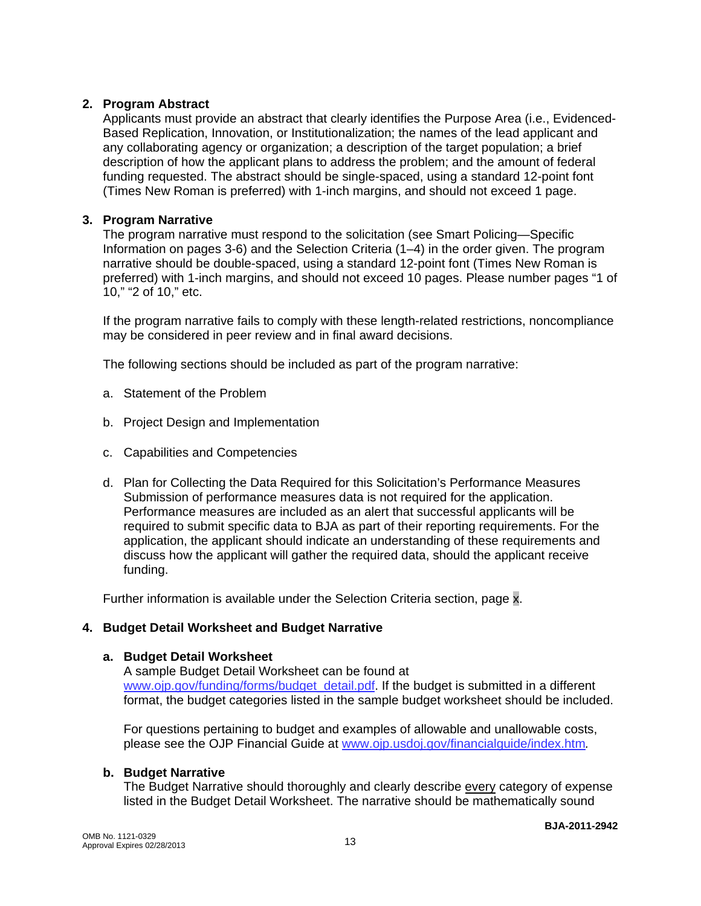#### **2. Program Abstract**

Applicants must provide an abstract that clearly identifies the Purpose Area (i.e., Evidenced-Based Replication, Innovation, or Institutionalization; the names of the lead applicant and any collaborating agency or organization; a description of the target population; a brief description of how the applicant plans to address the problem; and the amount of federal funding requested. The abstract should be single-spaced, using a standard 12-point font (Times New Roman is preferred) with 1-inch margins, and should not exceed 1 page.

#### **3. Program Narrative**

The program narrative must respond to the solicitation (see Smart Policing—Specific Information on pages 3-6) and the Selection Criteria (1–4) in the order given. The program narrative should be double-spaced, using a standard 12-point font (Times New Roman is preferred) with 1-inch margins, and should not exceed 10 pages. Please number pages "1 of 10," "2 of 10," etc.

If the program narrative fails to comply with these length-related restrictions, noncompliance may be considered in peer review and in final award decisions.

The following sections should be included as part of the program narrative:

- a. Statement of the Problem
- b. Project Design and Implementation
- c. Capabilities and Competencies
- d. Plan for Collecting the Data Required for this Solicitation's Performance Measures Submission of performance measures data is not required for the application. Performance measures are included as an alert that successful applicants will be required to submit specific data to BJA as part of their reporting requirements. For the application, the applicant should indicate an understanding of these requirements and discuss how the applicant will gather the required data, should the applicant receive funding.

Further information is available under the Selection Criteria section, page x.

#### **4. Budget Detail Worksheet and Budget Narrative**

#### **a. Budget Detail Worksheet**

A sample Budget Detail Worksheet can be found at [www.ojp.gov/funding/forms/budget\\_detail.pdf.](http://www.ojp.gov/funding/forms/budget_detail.pdf) If the budget is submitted in a different format, the budget categories listed in the sample budget worksheet should be included.

For questions pertaining to budget and examples of allowable and unallowable costs, please see the OJP Financial Guide at [www.ojp.usdoj.gov/financialguide/index.htm](http://www.ojp.usdoj.gov/financialguide/index.htm)*.*

#### **b. Budget Narrative**

The Budget Narrative should thoroughly and clearly describe every category of expense listed in the Budget Detail Worksheet. The narrative should be mathematically sound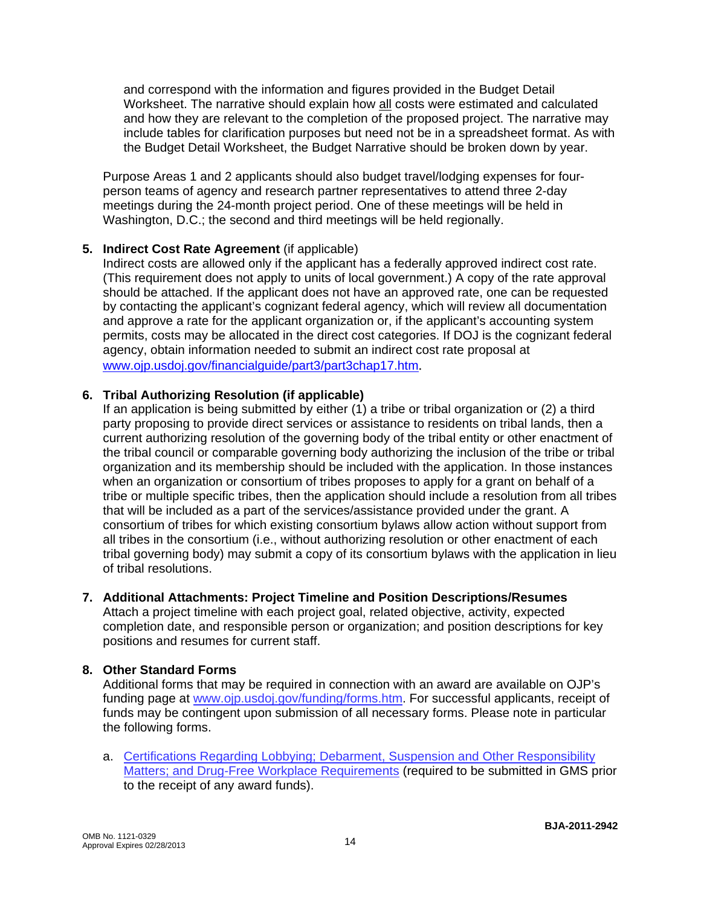and correspond with the information and figures provided in the Budget Detail Worksheet. The narrative should explain how all costs were estimated and calculated and how they are relevant to the completion of the proposed project. The narrative may include tables for clarification purposes but need not be in a spreadsheet format. As with the Budget Detail Worksheet, the Budget Narrative should be broken down by year.

Purpose Areas 1 and 2 applicants should also budget travel/lodging expenses for fourperson teams of agency and research partner representatives to attend three 2-day meetings during the 24-month project period. One of these meetings will be held in Washington, D.C.; the second and third meetings will be held regionally.

#### **5. Indirect Cost Rate Agreement** (if applicable)

Indirect costs are allowed only if the applicant has a federally approved indirect cost rate. (This requirement does not apply to units of local government.) A copy of the rate approval should be attached. If the applicant does not have an approved rate, one can be requested by contacting the applicant's cognizant federal agency, which will review all documentation and approve a rate for the applicant organization or, if the applicant's accounting system permits, costs may be allocated in the direct cost categories. If DOJ is the cognizant federal agency, obtain information needed to submit an indirect cost rate proposal at [www.ojp.usdoj.gov/financialguide/part3/part3chap17.htm](http://www.ojp.usdoj.gov/financialguide/part3/part3chap17.htm).

#### **6. Tribal Authorizing Resolution (if applicable)**

If an application is being submitted by either (1) a tribe or tribal organization or (2) a third party proposing to provide direct services or assistance to residents on tribal lands, then a current authorizing resolution of the governing body of the tribal entity or other enactment of the tribal council or comparable governing body authorizing the inclusion of the tribe or tribal organization and its membership should be included with the application. In those instances when an organization or consortium of tribes proposes to apply for a grant on behalf of a tribe or multiple specific tribes, then the application should include a resolution from all tribes that will be included as a part of the services/assistance provided under the grant. A consortium of tribes for which existing consortium bylaws allow action without support from all tribes in the consortium (i.e., without authorizing resolution or other enactment of each tribal governing body) may submit a copy of its consortium bylaws with the application in lieu of tribal resolutions.

#### **7. Additional Attachments: Project Timeline and Position Descriptions/Resumes**

Attach a project timeline with each project goal, related objective, activity, expected completion date, and responsible person or organization; and position descriptions for key positions and resumes for current staff.

#### **8. Other Standard Forms**

Additional forms that may be required in connection with an award are available on OJP's funding page at [www.ojp.usdoj.gov/funding/forms.htm.](http://www.ojp.usdoj.gov/funding/forms.htm) For successful applicants, receipt of funds may be contingent upon submission of all necessary forms. Please note in particular the following forms.

a. [Certifications Regarding Lobbying; Debarment, Suspension and Other Responsibility](http://www.ojp.usdoj.gov/funding/forms/certifications.pdf)  [Matters; and Drug-Free Workplace Requirements](http://www.ojp.usdoj.gov/funding/forms/certifications.pdf) (required to be submitted in GMS prior to the receipt of any award funds).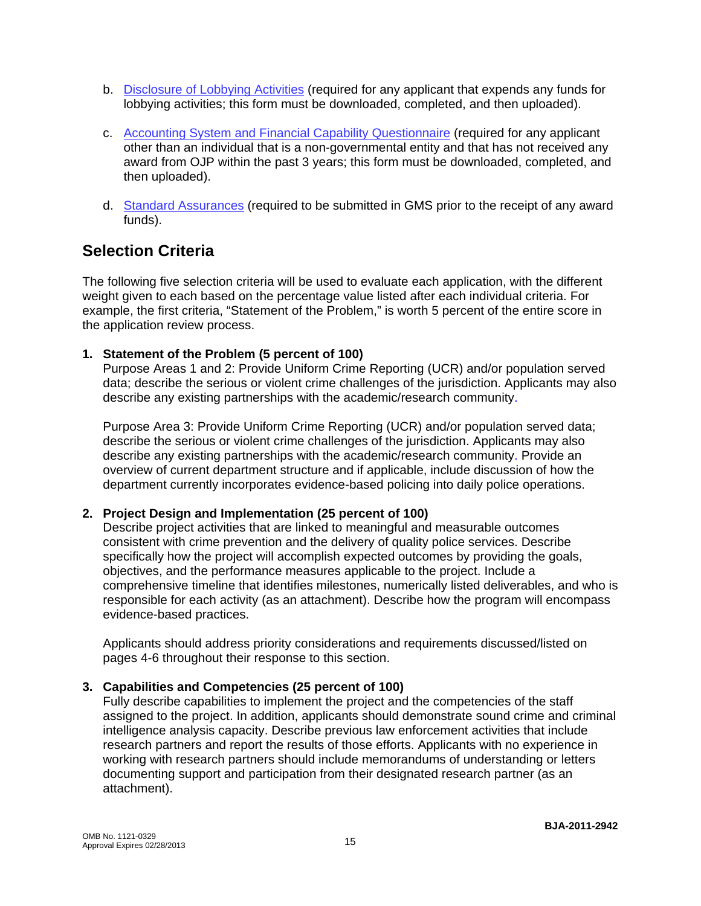- b. [Disclosure of Lobbying Activities](http://www.ojp.usdoj.gov/funding/forms/disclosure.pdf) (required for any applicant that expends any funds for lobbying activities; this form must be downloaded, completed, and then uploaded).
- c. [Accounting System and Financial Capability Questionnaire](http://www.ojp.usdoj.gov/funding/forms/financial_capability.pdf) (required for any applicant other than an individual that is a non-governmental entity and that has not received any award from OJP within the past 3 years; this form must be downloaded, completed, and then uploaded).
- d. [Standard Assurances](http://www.ojp.usdoj.gov/funding/forms/std_assurances.pdf) (required to be submitted in GMS prior to the receipt of any award funds).

# **Selection Criteria**

The following five selection criteria will be used to evaluate each application, with the different weight given to each based on the percentage value listed after each individual criteria. For example, the first criteria, "Statement of the Problem," is worth 5 percent of the entire score in the application review process.

**1. Statement of the Problem (5 percent of 100)** 

Purpose Areas 1 and 2: Provide Uniform Crime Reporting (UCR) and/or population served data; describe the serious or violent crime challenges of the jurisdiction. Applicants may also describe any existing partnerships with the academic/research community.

Purpose Area 3: Provide Uniform Crime Reporting (UCR) and/or population served data; describe the serious or violent crime challenges of the jurisdiction. Applicants may also describe any existing partnerships with the academic/research community. Provide an overview of current department structure and if applicable, include discussion of how the department currently incorporates evidence-based policing into daily police operations.

### **2. Project Design and Implementation (25 percent of 100)**

Describe project activities that are linked to meaningful and measurable outcomes consistent with crime prevention and the delivery of quality police services. Describe specifically how the project will accomplish expected outcomes by providing the goals, objectives, and the performance measures applicable to the project. Include a comprehensive timeline that identifies milestones, numerically listed deliverables, and who is responsible for each activity (as an attachment). Describe how the program will encompass evidence-based practices.

Applicants should address priority considerations and requirements discussed/listed on pages 4-6 throughout their response to this section.

### **3. Capabilities and Competencies (25 percent of 100)**

Fully describe capabilities to implement the project and the competencies of the staff assigned to the project. In addition, applicants should demonstrate sound crime and criminal intelligence analysis capacity. Describe previous law enforcement activities that include research partners and report the results of those efforts. Applicants with no experience in working with research partners should include memorandums of understanding or letters documenting support and participation from their designated research partner (as an attachment).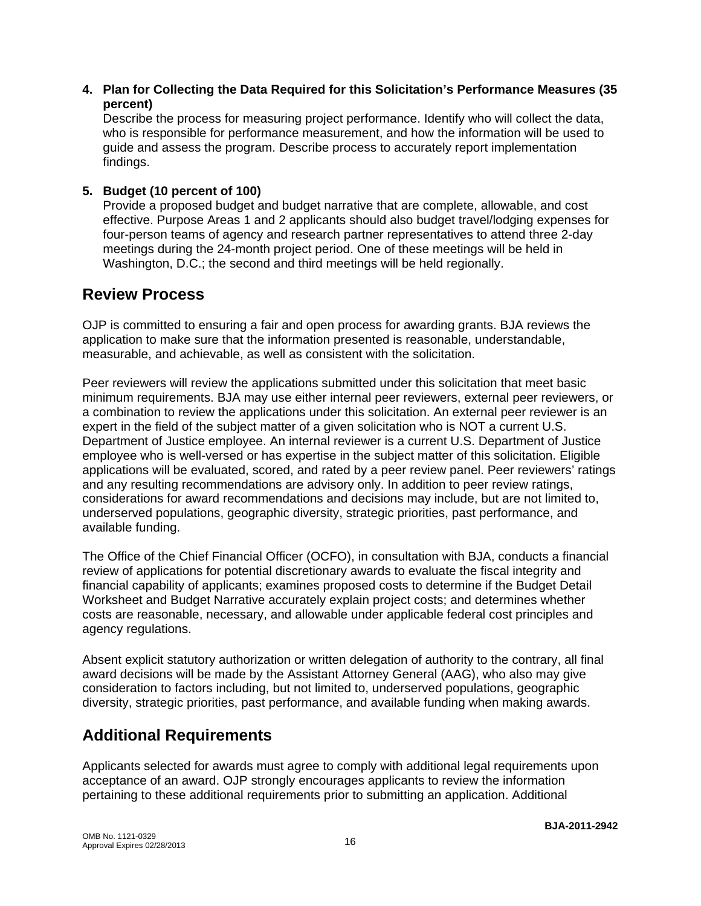**4. Plan for Collecting the Data Required for this Solicitation's Performance Measures (35 percent)** 

Describe the process for measuring project performance. Identify who will collect the data, who is responsible for performance measurement, and how the information will be used to guide and assess the program. Describe process to accurately report implementation findings.

### **5. Budget (10 percent of 100)**

Provide a proposed budget and budget narrative that are complete, allowable, and cost effective. Purpose Areas 1 and 2 applicants should also budget travel/lodging expenses for four-person teams of agency and research partner representatives to attend three 2-day meetings during the 24-month project period. One of these meetings will be held in Washington, D.C.; the second and third meetings will be held regionally.

## **Review Process**

OJP is committed to ensuring a fair and open process for awarding grants. BJA reviews the application to make sure that the information presented is reasonable, understandable, measurable, and achievable, as well as consistent with the solicitation.

Peer reviewers will review the applications submitted under this solicitation that meet basic minimum requirements. BJA may use either internal peer reviewers, external peer reviewers, or a combination to review the applications under this solicitation. An external peer reviewer is an expert in the field of the subject matter of a given solicitation who is NOT a current U.S. Department of Justice employee. An internal reviewer is a current U.S. Department of Justice employee who is well-versed or has expertise in the subject matter of this solicitation. Eligible applications will be evaluated, scored, and rated by a peer review panel. Peer reviewers' ratings and any resulting recommendations are advisory only. In addition to peer review ratings, considerations for award recommendations and decisions may include, but are not limited to, underserved populations, geographic diversity, strategic priorities, past performance, and available funding.

The Office of the Chief Financial Officer (OCFO), in consultation with BJA, conducts a financial review of applications for potential discretionary awards to evaluate the fiscal integrity and financial capability of applicants; examines proposed costs to determine if the Budget Detail Worksheet and Budget Narrative accurately explain project costs; and determines whether costs are reasonable, necessary, and allowable under applicable federal cost principles and agency regulations.

Absent explicit statutory authorization or written delegation of authority to the contrary, all final award decisions will be made by the Assistant Attorney General (AAG), who also may give consideration to factors including, but not limited to, underserved populations, geographic diversity, strategic priorities, past performance, and available funding when making awards.

# **Additional Requirements**

Applicants selected for awards must agree to comply with additional legal requirements upon acceptance of an award. OJP strongly encourages applicants to review the information pertaining to these additional requirements prior to submitting an application. Additional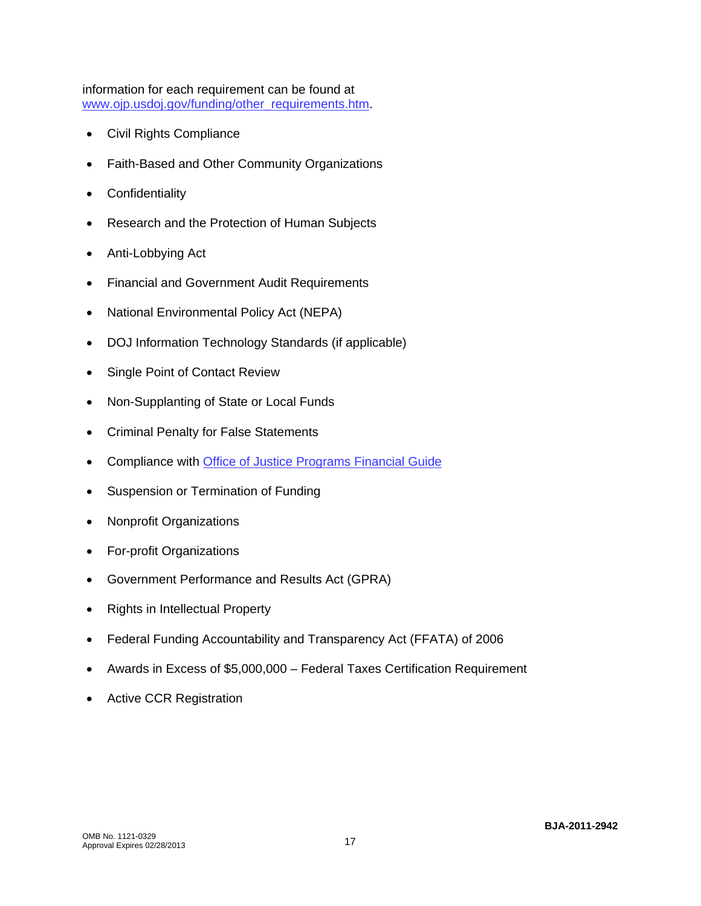information for each requirement can be found at [www.ojp.usdoj.gov/funding/other\\_requirements.htm.](http://www.ojp.usdoj.gov/funding/other_requirements.htm)

- [Civil Rights Compliance](http://www.ojp.usdoj.gov/about/ocr/statutes.htm)
- Faith-Based and Other Community Organizations
- Confidentiality
- Research and the Protection of Human Subjects
- Anti-Lobbying Act
- Financial and Government Audit Requirements
- National Environmental Policy Act (NEPA)
- DOJ Information Technology Standards (if applicable)
- Single Point of Contact Review
- Non-Supplanting of State or Local Funds
- Criminal Penalty for False Statements
- Compliance with [Office of Justice Programs Financial Guide](http://www.ojp.usdoj.gov/financialguide/index.htm)
- Suspension or Termination of Funding
- Nonprofit Organizations
- For-profit Organizations
- Government Performance and Results Act (GPRA)
- Rights in Intellectual Property
- Federal Funding Accountability and Transparency Act (FFATA) of 2006
- Awards in Excess of \$5,000,000 Federal Taxes Certification Requirement
- Active CCR Registration